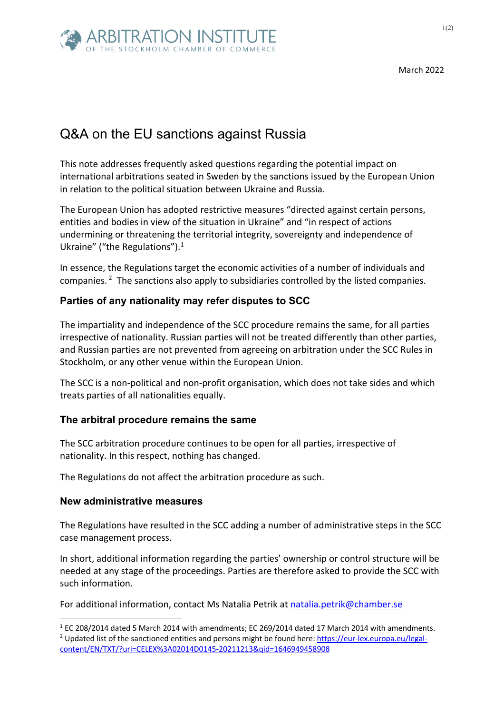

March 2022

# Q&A on the EU sanctions against Russia

This note addresses frequently asked questions regarding the potential impact on international arbitrations seated in Sweden by the sanctions issued by the European Union in relation to the political situation between Ukraine and Russia.

The European Union has adopted restrictive measures "directed against certain persons, entities and bodies in view of the situation in Ukraine" and "in respect of actions undermining or threatening the territorial integrity, sovereignty and independence of Ukraine" ("the Regulations").<sup>1</sup>

In essence, the Regulations target the economic activities of a number of individuals and companies. <sup>2</sup> The sanctions also apply to subsidiaries controlled by the listed companies.

# **Parties of any nationality may refer disputes to SCC**

The impartiality and independence of the SCC procedure remains the same, for all parties irrespective of nationality. Russian parties will not be treated differently than other parties, and Russian parties are not prevented from agreeing on arbitration under the SCC Rules in Stockholm, or any other venue within the European Union.

The SCC is a non-political and non-profit organisation, which does not take sides and which treats parties of all nationalities equally.

### **The arbitral procedure remains the same**

The SCC arbitration procedure continues to be open for all parties, irrespective of nationality. In this respect, nothing has changed.

The Regulations do not affect the arbitration procedure as such.

#### **New administrative measures**

The Regulations have resulted in the SCC adding a number of administrative steps in the SCC case management process.

In short, additional information regarding the parties' ownership or control structure will be needed at any stage of the proceedings. Parties are therefore asked to provide the SCC with such information.

For additional information, contact Ms Natalia Petrik at natalia.petrik@chamber.se

 $1$  EC 208/2014 dated 5 March 2014 with amendments; EC 269/2014 dated 17 March 2014 with amendments. <sup>2</sup> Updated list of the sanctioned entities and persons might be found here: https://eur-lex.europa.eu/legalcontent/EN/TXT/?uri=CELEX%3A02014D0145-20211213&qid=1646949458908